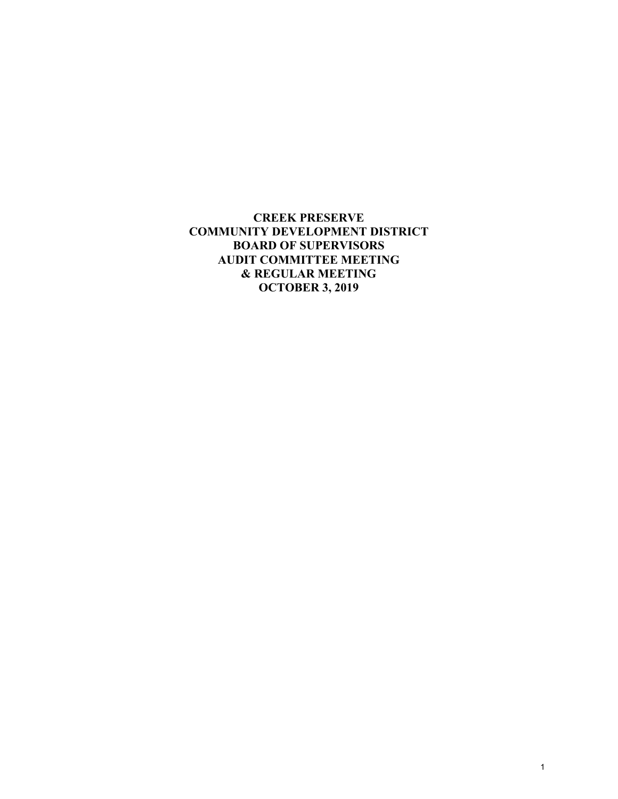**CREEK PRESERVE COMMUNITY DEVELOPMENT DISTRICT BOARD OF SUPERVISORS AUDIT COMMITTEE MEETING & REGULAR MEETING OCTOBER 3, 2019**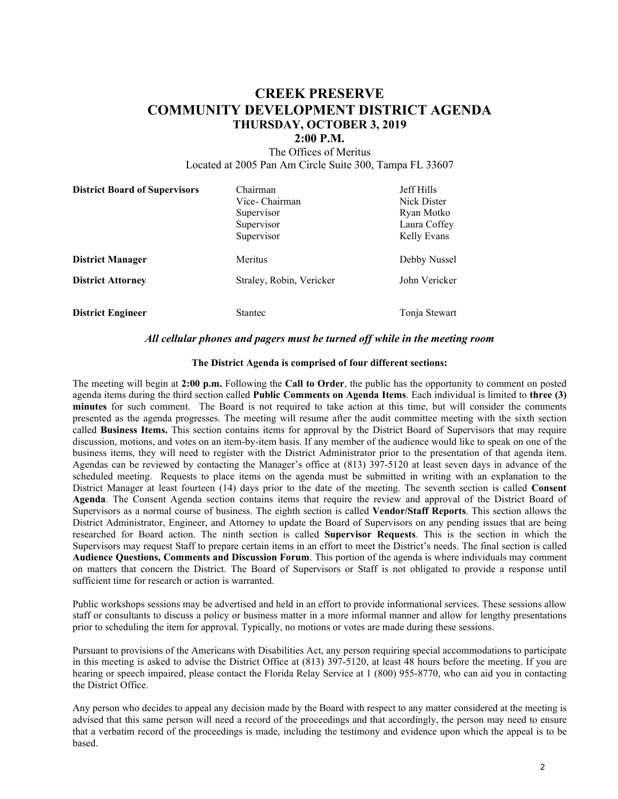# **CREEK PRESERVE COMMUNITY DEVELOPMENT DISTRICT AGENDA THURSDAY, OCTOBER 3, 2019**

#### **2:00 P.M.**

The Offices of Meritus Located at 2005 Pan Am Circle Suite 300, Tampa FL 33607

| <b>District Board of Supervisors</b>                | Chairman<br>Vice-Chairman<br>Supervisor<br>Supervisor<br>Supervisor | <b>Jeff Hills</b><br>Nick Dister<br>Ryan Motko<br>Laura Coffey<br>Kelly Evans |
|-----------------------------------------------------|---------------------------------------------------------------------|-------------------------------------------------------------------------------|
| <b>District Manager</b><br><b>District Attorney</b> | Meritus<br>Straley, Robin, Vericker                                 | Debby Nussel<br>John Vericker                                                 |
| <b>District Engineer</b>                            | <b>Stantec</b>                                                      | Tonja Stewart                                                                 |

#### *All cellular phones and pagers must be turned off while in the meeting room*

#### **The District Agenda is comprised of four different sections:**

The meeting will begin at **2:00 p.m.** Following the **Call to Order**, the public has the opportunity to comment on posted agenda items during the third section called **Public Comments on Agenda Items**. Each individual is limited to **three (3) minutes** for such comment. The Board is not required to take action at this time, but will consider the comments presented as the agenda progresses. The meeting will resume after the audit committee meeting with the sixth section called **Business Items.** This section contains items for approval by the District Board of Supervisors that may require discussion, motions, and votes on an item-by-item basis. If any member of the audience would like to speak on one of the business items, they will need to register with the District Administrator prior to the presentation of that agenda item. Agendas can be reviewed by contacting the Manager's office at (813) 397-5120 at least seven days in advance of the scheduled meeting. Requests to place items on the agenda must be submitted in writing with an explanation to the District Manager at least fourteen (14) days prior to the date of the meeting. The seventh section is called **Consent Agenda**. The Consent Agenda section contains items that require the review and approval of the District Board of Supervisors as a normal course of business. The eighth section is called **Vendor/Staff Reports**. This section allows the District Administrator, Engineer, and Attorney to update the Board of Supervisors on any pending issues that are being researched for Board action. The ninth section is called **Supervisor Requests**. This is the section in which the Supervisors may request Staff to prepare certain items in an effort to meet the District's needs. The final section is called **Audience Questions, Comments and Discussion Forum**. This portion of the agenda is where individuals may comment on matters that concern the District. The Board of Supervisors or Staff is not obligated to provide a response until sufficient time for research or action is warranted.

Public workshops sessions may be advertised and held in an effort to provide informational services. These sessions allow staff or consultants to discuss a policy or business matter in a more informal manner and allow for lengthy presentations prior to scheduling the item for approval. Typically, no motions or votes are made during these sessions.

Pursuant to provisions of the Americans with Disabilities Act, any person requiring special accommodations to participate in this meeting is asked to advise the District Office at (813) 397-5120, at least 48 hours before the meeting. If you are hearing or speech impaired, please contact the Florida Relay Service at 1 (800) 955-8770, who can aid you in contacting the District Office.

Any person who decides to appeal any decision made by the Board with respect to any matter considered at the meeting is advised that this same person will need a record of the proceedings and that accordingly, the person may need to ensure that a verbatim record of the proceedings is made, including the testimony and evidence upon which the appeal is to be based.